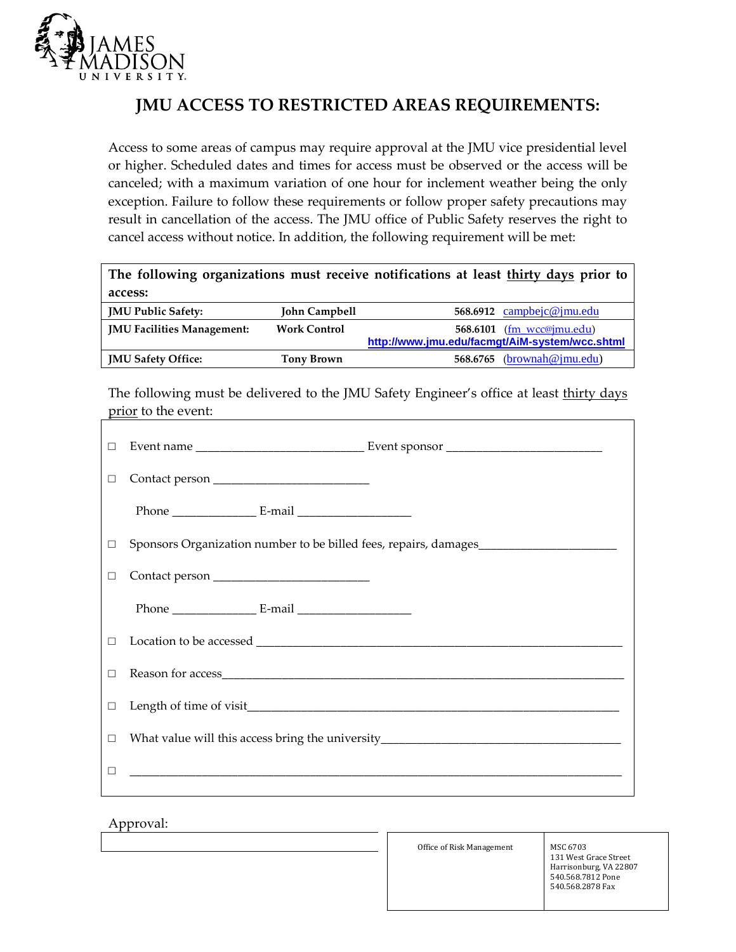

## **JMU ACCESS TO RESTRICTED AREAS REQUIREMENTS:**

Access to some areas of campus may require approval at the JMU vice presidential level or higher. Scheduled dates and times for access must be observed or the access will be canceled; with a maximum variation of one hour for inclement weather being the only exception. Failure to follow these requirements or follow proper safety precautions may result in cancellation of the access. The JMU office of Public Safety reserves the right to cancel access without notice. In addition, the following requirement will be met:

| The following organizations must receive notifications at least thirty days prior to |                     |                                                |  |  |
|--------------------------------------------------------------------------------------|---------------------|------------------------------------------------|--|--|
| access:                                                                              |                     |                                                |  |  |
| <b>JMU Public Safety:</b>                                                            | John Campbell       | 568.6912 campbejc@jmu.edu                      |  |  |
| <b>IMU Facilities Management:</b>                                                    | <b>Work Control</b> | 568.6101 (fm wcc@jmu.edu)                      |  |  |
|                                                                                      |                     | http://www.jmu.edu/facmqt/AiM-system/wcc.shtml |  |  |
| <b>JMU Safety Office:</b>                                                            | Tony Brown          | 568.6765 $(brownah@jmu.edu)$                   |  |  |

The following must be delivered to the JMU Safety Engineer's office at least thirty days prior to the event:

|  | Sponsors Organization number to be billed fees, repairs, damages                 |
|--|----------------------------------------------------------------------------------|
|  |                                                                                  |
|  |                                                                                  |
|  |                                                                                  |
|  |                                                                                  |
|  |                                                                                  |
|  | What value will this access bring the university________________________________ |
|  |                                                                                  |
|  |                                                                                  |

## Approval:

Office of Risk Management MSC 6703